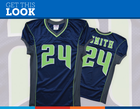